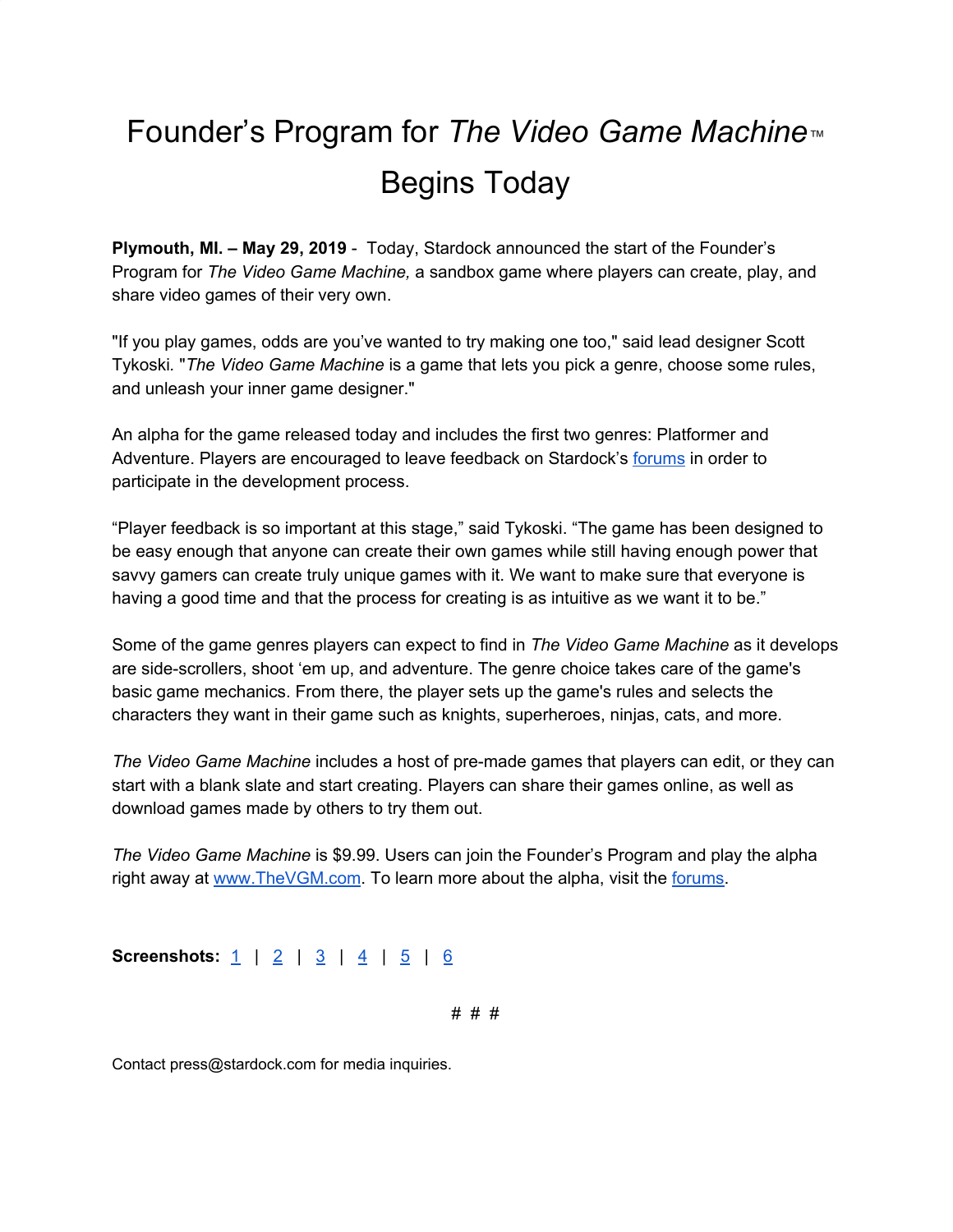## Founder's Program for *The Video Game Machine™* Begins Today

**Plymouth, MI. – May 29, 2019** - Today, Stardock announced the start of the Founder's Program for *The Video Game Machine,* a sandbox game where players can create, play, and share video games of their very own.

"If you play games, odds are you've wanted to try making one too," said lead designer Scott Tykoski*.* "*The Video Game Machine* is a game that lets you pick a genre, choose some rules, and unleash your inner game designer."

An alpha for the game released today and includes the first two genres: Platformer and Adventure. Players are encouraged to leave feedback on Stardock's [forums](https://forums.stardock.net/forum/1189) in order to participate in the development process.

"Player feedback is so important at this stage," said Tykoski. "The game has been designed to be easy enough that anyone can create their own games while still having enough power that savvy gamers can create truly unique games with it. We want to make sure that everyone is having a good time and that the process for creating is as intuitive as we want it to be."

Some of the game genres players can expect to find in *The Video Game Machine* as it develops are side-scrollers, shoot 'em up, and adventure. The genre choice takes care of the game's basic game mechanics. From there, the player sets up the game's rules and selects the characters they want in their game such as knights, superheroes, ninjas, cats, and more.

*The Video Game Machine* includes a host of pre-made games that players can edit, or they can start with a blank slate and start creating. Players can share their games online, as well as download games made by others to try them out.

*The Video Game Machine* is \$9.99. Users can join the Founder's Program and play the alpha right away at [www.TheVGM.com](http://www.thevgm.com/). To learn more about the alpha, visit the [forums.](https://www.thevgm.com/article/494999)

**Screenshots:** <u>[1](https://www.stardock.com/thevideogamemachine/screenshots/vgm_editor_jurassicskatepark_01.png)</u> | <u>[2](https://www.stardock.com/thevideogamemachine/screenshots/vgm_chooseyourgenre_02.png)</u> | <u>[3](https://www.stardock.com/thevideogamemachine/screenshots/vgm_adventuregame_03.png)</u> | <u>[4](https://www.stardock.com/thevideogamemachine/screenshots/vgm_thearcade_04.png)</u> | <u>[5](https://www.stardock.com/thevideogamemachine/screenshots/vgm_rulesbook_05.png)</u> | <u>[6](https://www.stardock.com/thevideogamemachine/screenshots/vgm_retroninjas_06.png)</u>

# # #

Contact press@stardock.com for media inquiries.